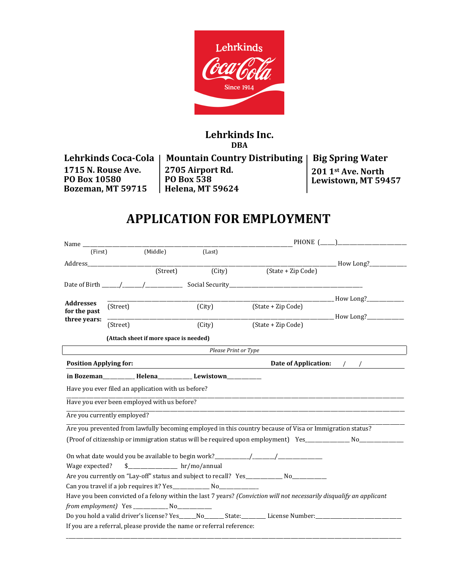

# **Lehrkinds Inc. DBA**

**Lehrkinds Coca-Cola 1715 N. Rouse Ave. PO Box 10580 Bozeman, MT 59715**

**Mountain Country Distributing Big Spring Water 2705 Airport Rd. PO Box 538 Helena, MT 59624**

**201 1st Ave. North Lewistown, MT 59457** 

# **APPLICATION FOR EMPLOYMENT**

|                                                           |          |                                                        |                                                                                  | PHONE (                                                                                                               |                                         |  |
|-----------------------------------------------------------|----------|--------------------------------------------------------|----------------------------------------------------------------------------------|-----------------------------------------------------------------------------------------------------------------------|-----------------------------------------|--|
| (First)                                                   |          | (Middle)                                               | (Last)                                                                           |                                                                                                                       |                                         |  |
| Address                                                   |          |                                                        |                                                                                  |                                                                                                                       | _______________ How Long?______________ |  |
|                                                           |          | (Treet)                                                | (City)                                                                           | (State + Zip Code)                                                                                                    |                                         |  |
|                                                           |          |                                                        |                                                                                  |                                                                                                                       |                                         |  |
|                                                           |          |                                                        |                                                                                  |                                                                                                                       | ____________ How Long?_____________     |  |
| <b>Addresses</b>                                          | (Street) |                                                        | (City)                                                                           | (State + Zip Code)                                                                                                    |                                         |  |
| for the past<br>three years:                              |          |                                                        |                                                                                  |                                                                                                                       |                                         |  |
|                                                           | (Street) |                                                        | (City)                                                                           | (State + Zip Code)                                                                                                    |                                         |  |
|                                                           |          | (Attach sheet if more space is needed)                 |                                                                                  |                                                                                                                       |                                         |  |
|                                                           |          |                                                        | Please Print or Type                                                             |                                                                                                                       |                                         |  |
| <b>Position Applying for:</b><br>Date of Application: / / |          |                                                        |                                                                                  |                                                                                                                       |                                         |  |
|                                                           |          |                                                        | in Bozeman__________________Helena_____________________Lewistown________________ |                                                                                                                       |                                         |  |
|                                                           |          | Have you ever filed an application with us before?     |                                                                                  |                                                                                                                       |                                         |  |
|                                                           |          | Have you ever been employed with us before?            |                                                                                  |                                                                                                                       |                                         |  |
| Are you currently employed?                               |          |                                                        |                                                                                  |                                                                                                                       |                                         |  |
|                                                           |          |                                                        |                                                                                  | Are you prevented from lawfully becoming employed in this country because of Visa or Immigration status?              |                                         |  |
|                                                           |          |                                                        |                                                                                  | (Proof of citizenship or immigration status will be required upon employment) Yes__________________ No_______________ |                                         |  |
|                                                           |          |                                                        |                                                                                  |                                                                                                                       |                                         |  |
| Wage expected?                                            |          | $\frac{1}{2}$ hr/mo/annual                             |                                                                                  |                                                                                                                       |                                         |  |
|                                                           |          |                                                        |                                                                                  | Are you currently on "Lay-off" status and subject to recall? Yes_____________ No_____________                         |                                         |  |
|                                                           |          |                                                        |                                                                                  |                                                                                                                       |                                         |  |
|                                                           |          |                                                        |                                                                                  | Have you been convicted of a felony within the last 7 years? (Conviction will not necessarily disqualify an applicant |                                         |  |
|                                                           |          | from employment) Yes ________________ No______________ |                                                                                  |                                                                                                                       |                                         |  |
|                                                           |          |                                                        |                                                                                  | Do you hold a valid driver's license? Yes______No_________State:___________License Number:__________                  |                                         |  |
|                                                           |          |                                                        | If you are a referral, please provide the name or referral reference:            |                                                                                                                       |                                         |  |
|                                                           |          |                                                        |                                                                                  |                                                                                                                       |                                         |  |

\_\_\_\_\_\_\_\_\_\_\_\_\_\_\_\_\_\_\_\_\_\_\_\_\_\_\_\_\_\_\_\_\_\_\_\_\_\_\_\_\_\_\_\_\_\_\_\_\_\_\_\_\_\_\_\_\_\_\_\_\_\_\_\_\_\_\_\_\_\_\_\_\_\_\_\_\_\_\_\_\_\_\_\_\_\_\_\_\_\_\_\_\_\_\_\_\_\_\_\_\_\_\_\_\_\_\_\_\_\_\_\_\_\_\_\_\_\_\_\_\_\_\_\_\_\_\_\_\_\_\_\_\_\_\_\_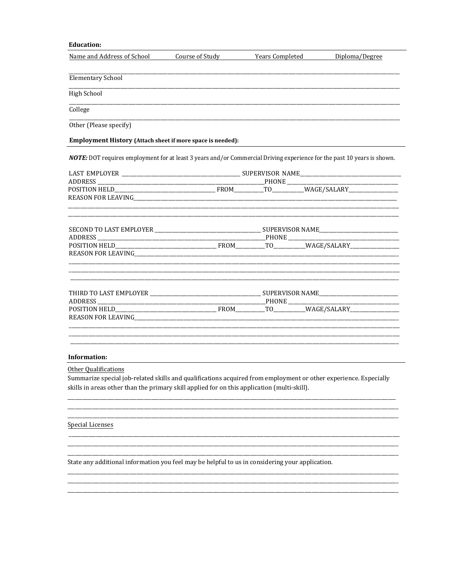# **Education:**

| Name and Address of School                                             | Course of Study                                                                             | <b>Years Completed</b> | Diploma/Degree                                                                                                                 |
|------------------------------------------------------------------------|---------------------------------------------------------------------------------------------|------------------------|--------------------------------------------------------------------------------------------------------------------------------|
|                                                                        |                                                                                             |                        |                                                                                                                                |
| <b>Elementary School</b>                                               |                                                                                             |                        |                                                                                                                                |
| High School                                                            |                                                                                             |                        |                                                                                                                                |
| College                                                                |                                                                                             |                        |                                                                                                                                |
| Other (Please specify)                                                 |                                                                                             |                        |                                                                                                                                |
| Employment History (Attach sheet if more space is needed):             |                                                                                             |                        |                                                                                                                                |
|                                                                        |                                                                                             |                        | <b>NOTE:</b> DOT requires employment for at least 3 years and/or Commercial Driving experience for the past 10 years is shown. |
|                                                                        |                                                                                             |                        |                                                                                                                                |
|                                                                        |                                                                                             |                        |                                                                                                                                |
|                                                                        |                                                                                             |                        |                                                                                                                                |
|                                                                        |                                                                                             |                        |                                                                                                                                |
|                                                                        |                                                                                             |                        |                                                                                                                                |
|                                                                        |                                                                                             |                        |                                                                                                                                |
|                                                                        |                                                                                             |                        |                                                                                                                                |
|                                                                        |                                                                                             |                        |                                                                                                                                |
|                                                                        |                                                                                             |                        |                                                                                                                                |
|                                                                        |                                                                                             |                        |                                                                                                                                |
| REASON FOR LEAVING THE RESIDENCE OF A SERIES OF THE REASON FOR LEAVING |                                                                                             |                        |                                                                                                                                |
|                                                                        |                                                                                             |                        |                                                                                                                                |
| Information:                                                           |                                                                                             |                        |                                                                                                                                |
| Other Qualifications                                                   |                                                                                             |                        |                                                                                                                                |
|                                                                        |                                                                                             |                        | Summarize special job-related skills and qualifications acquired from employment or other experience. Especially               |
|                                                                        | skills in areas other than the primary skill applied for on this application (multi-skill). |                        |                                                                                                                                |

**Special Licenses** 

 $\sim$ 

 $\overline{\phantom{0}}$ 

State any additional information you feel may be helpful to us in considering your application.